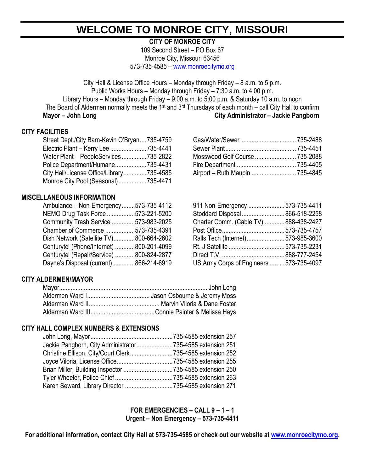# **WELCOME TO MONROE CITY, MISSOURI**

**CITY OF MONROE CITY**

109 Second Street – PO Box 67 Monroe City, Missouri 63456 573-735-4585 – [www.monroecitymo.org](http://www.monroecitymo.org/)

City Hall & License Office Hours – Monday through Friday – 8 a.m. to 5 p.m. Public Works Hours – Monday through Friday – 7:30 a.m. to 4:00 p.m. Library Hours – Monday through Friday – 9:00 a.m. to 5:00 p.m. & Saturday 10 a.m. to noon The Board of Aldermen normally meets the 1<sup>st</sup> and 3<sup>rd</sup> Thursdays of each month – call City Hall to confirm **Mayor – John Long City Administrator – Jackie Pangborn** 

# **CITY FACILITIES**

| Street Dept./City Barn-Kevin O'Bryan735-4759 |  |  |
|----------------------------------------------|--|--|
| Electric Plant - Kerry Lee 735-4441          |  |  |
| Water Plant - PeopleServices 735-2822        |  |  |
| Police Department/Humane735-4431             |  |  |
| City Hall/License Office/Library735-4585     |  |  |
| Monroe City Pool (Seasonal)735-4471          |  |  |

### **MISCELLANEOUS INFORMATION**

| Ambulance - Non-Emergency573-735-4112    | 911 Non-Emergency 573-735-4411           |  |
|------------------------------------------|------------------------------------------|--|
| NEMO Drug Task Force 573-221-5200        | Stoddard Disposal  866-518-2258          |  |
| Community Trash Service 573-983-2025     | Charter Comm. (Cable TV)888-438-2427     |  |
| Chamber of Commerce 573-735-4391         |                                          |  |
| Dish Network (Satellite TV)800-664-2602  | Ralls Tech (Internet)573-985-3600        |  |
| Centurytel (Phone/Internet) 800-201-4099 |                                          |  |
| Centurytel (Repair/Service) 800-824-2877 |                                          |  |
| Dayne's Disposal (current) 866-214-6919  | US Army Corps of Engineers  573-735-4097 |  |

| Street Dept./City Barn-Kevin O'Bryan735-4759 |  |  |
|----------------------------------------------|--|--|
| Electric Plant - Kerry Lee 735-4441          |  |  |
| Water Plant - PeopleServices 735-2822        |  |  |
| Police Department/Humane735-4431             |  |  |
| City Hall/License Office/Library735-4585     |  |  |
|                                              |  |  |

| 911 Non-Emergency  573-735-4411          |  |
|------------------------------------------|--|
| Stoddard Disposal 866-518-2258           |  |
| Charter Comm. (Cable TV)888-438-2427     |  |
|                                          |  |
| Ralls Tech (Internet)573-985-3600        |  |
|                                          |  |
|                                          |  |
| US Army Corps of Engineers  573-735-4097 |  |

# **CITY ALDERMEN/MAYOR**

### **CITY HALL COMPLEX NUMBERS & EXTENSIONS**

| Jackie Pangborn, City Administrator735-4585 extension 251 |  |
|-----------------------------------------------------------|--|
| Christine Ellison, City/Court Clerk735-4585 extension 252 |  |
|                                                           |  |
|                                                           |  |
|                                                           |  |
|                                                           |  |
|                                                           |  |

**FOR EMERGENCIES – CALL 9 – 1 – 1 Urgent – Non Emergency – 573-735-4411**

**For additional information, contact City Hall at 573-735-4585 or check out our website at [www.monroecitymo.org.](http://www.monroecitymo.org/)**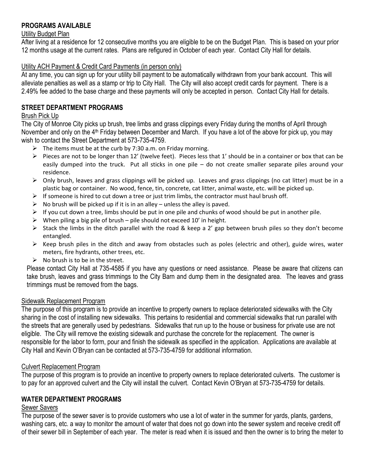# **PROGRAMS AVAILABLE**

### Utility Budget Plan

After living at a residence for 12 consecutive months you are eligible to be on the Budget Plan. This is based on your prior 12 months usage at the current rates. Plans are refigured in October of each year. Contact City Hall for details.

### Utility ACH Payment & Credit Card Payments (in person only)

At any time, you can sign up for your utility bill payment to be automatically withdrawn from your bank account. This will alleviate penalties as well as a stamp or trip to City Hall. The City will also accept credit cards for payment. There is a 2.49% fee added to the base charge and these payments will only be accepted in person. Contact City Hall for details.

# **STREET DEPARTMENT PROGRAMS**

### Brush Pick Up

The City of Monroe City picks up brush, tree limbs and grass clippings every Friday during the months of April through November and only on the 4<sup>th</sup> Friday between December and March. If you have a lot of the above for pick up, you may wish to contact the Street Department at 573-735-4759.

- $\triangleright$  The items must be at the curb by 7:30 a.m. on Friday morning.
- $\triangleright$  Pieces are not to be longer than 12' (twelve feet). Pieces less that 1' should be in a container or box that can be easily dumped into the truck. Put all sticks in one pile – do not create smaller separate piles around your residence.
- $\triangleright$  Only brush, leaves and grass clippings will be picked up. Leaves and grass clippings (no cat litter) must be in a plastic bag or container. No wood, fence, tin, concrete, cat litter, animal waste, etc. will be picked up.
- $\triangleright$  If someone is hired to cut down a tree or just trim limbs, the contractor must haul brush off.
- $\triangleright$  No brush will be picked up if it is in an alley unless the alley is paved.
- $\triangleright$  If you cut down a tree, limbs should be put in one pile and chunks of wood should be put in another pile.
- $\triangleright$  When piling a big pile of brush pile should not exceed 10' in height.
- $\triangleright$  Stack the limbs in the ditch parallel with the road & keep a 2' gap between brush piles so they don't become entangled.
- $\triangleright$  Keep brush piles in the ditch and away from obstacles such as poles (electric and other), guide wires, water meters, fire hydrants, other trees, etc.
- $\triangleright$  No brush is to be in the street.

Please contact City Hall at 735-4585 if you have any questions or need assistance. Please be aware that citizens can take brush, leaves and grass trimmings to the City Barn and dump them in the designated area. The leaves and grass trimmings must be removed from the bags.

### Sidewalk Replacement Program

The purpose of this program is to provide an incentive to property owners to replace deteriorated sidewalks with the City sharing in the cost of installing new sidewalks. This pertains to residential and commercial sidewalks that run parallel with the streets that are generally used by pedestrians. Sidewalks that run up to the house or business for private use are not eligible. The City will remove the existing sidewalk and purchase the concrete for the replacement. The owner is responsible for the labor to form, pour and finish the sidewalk as specified in the application. Applications are available at City Hall and Kevin O'Bryan can be contacted at 573-735-4759 for additional information.

### Culvert Replacement Program

The purpose of this program is to provide an incentive to property owners to replace deteriorated culverts. The customer is to pay for an approved culvert and the City will install the culvert. Contact Kevin O'Bryan at 573-735-4759 for details.

# **WATER DEPARTMENT PROGRAMS**

### Sewer Savers

The purpose of the sewer saver is to provide customers who use a lot of water in the summer for yards, plants, gardens, washing cars, etc. a way to monitor the amount of water that does not go down into the sewer system and receive credit off of their sewer bill in September of each year. The meter is read when it is issued and then the owner is to bring the meter to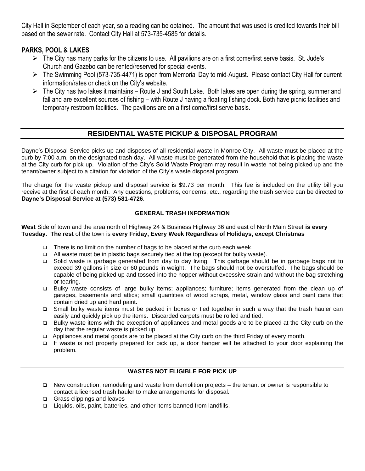City Hall in September of each year, so a reading can be obtained. The amount that was used is credited towards their bill based on the sewer rate. Contact City Hall at 573-735-4585 for details.

# **PARKS, POOL & LAKES**

- ➢ The City has many parks for the citizens to use. All pavilions are on a first come/first serve basis. St. Jude's Church and Gazebo can be rented/reserved for special events.
- ➢ The Swimming Pool (573-735-4471) is open from Memorial Day to mid-August. Please contact City Hall for current information/rates or check on the City's website.
- $\triangleright$  The City has two lakes it maintains Route J and South Lake. Both lakes are open during the spring, summer and fall and are excellent sources of fishing – with Route J having a floating fishing dock. Both have picnic facilities and temporary restroom facilities. The pavilions are on a first come/first serve basis.

# **RESIDENTIAL WASTE PICKUP & DISPOSAL PROGRAM**

Dayne's Disposal Service picks up and disposes of all residential waste in Monroe City. All waste must be placed at the curb by 7:00 a.m. on the designated trash day. All waste must be generated from the household that is placing the waste at the City curb for pick up. Violation of the City's Solid Waste Program may result in waste not being picked up and the tenant/owner subject to a citation for violation of the City's waste disposal program.

The charge for the waste pickup and disposal service is \$9.73 per month. This fee is included on the utility bill you receive at the first of each month. Any questions, problems, concerns, etc., regarding the trash service can be directed to **Dayne's Disposal Service at (573) 581-4726**.

#### **GENERAL TRASH INFORMATION**

**West** Side of town and the area north of Highway 24 & Business Highway 36 and east of North Main Street **is every Tuesday. The rest** of the town is **every Friday, Every Week Regardless of Holidays, except Christmas**

- ❑ There is no limit on the number of bags to be placed at the curb each week.
- ❑ All waste must be in plastic bags securely tied at the top (except for bulky waste).
- ❑ Solid waste is garbage generated from day to day living. This garbage should be in garbage bags not to exceed 39 gallons in size or 60 pounds in weight. The bags should not be overstuffed. The bags should be capable of being picked up and tossed into the hopper without excessive strain and without the bag stretching or tearing.
- ❑ Bulky waste consists of large bulky items; appliances; furniture; items generated from the clean up of garages, basements and attics; small quantities of wood scraps, metal, window glass and paint cans that contain dried up and hard paint.
- ❑ Small bulky waste items must be packed in boxes or tied together in such a way that the trash hauler can easily and quickly pick up the items. Discarded carpets must be rolled and tied.
- ❑ Bulky waste items with the exception of appliances and metal goods are to be placed at the City curb on the day that the regular waste is picked up.
- ❑ Appliances and metal goods are to be placed at the City curb on the third Friday of every month.
- ❑ If waste is not properly prepared for pick up, a door hanger will be attached to your door explaining the problem.

### **WASTES NOT ELIGIBLE FOR PICK UP**

- ❑ New construction, remodeling and waste from demolition projects the tenant or owner is responsible to contact a licensed trash hauler to make arrangements for disposal.
- ❑ Grass clippings and leaves
- ❑ Liquids, oils, paint, batteries, and other items banned from landfills.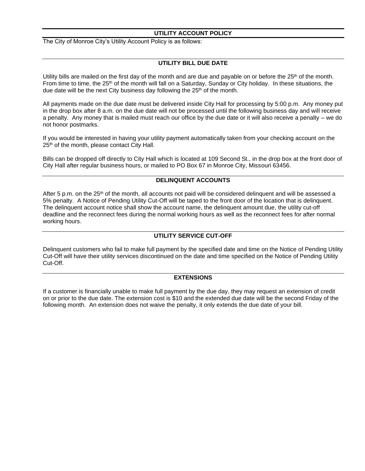#### **UTILITY ACCOUNT POLICY**

The City of Monroe City's Utility Account Policy is as follows:

#### **UTILITY BILL DUE DATE**

Utility bills are mailed on the first day of the month and are due and payable on or before the 25<sup>th</sup> of the month. From time to time, the 25<sup>th</sup> of the month will fall on a Saturday, Sunday or City holiday. In these situations, the due date will be the next City business day following the 25<sup>th</sup> of the month.

All payments made on the due date must be delivered inside City Hall for processing by 5:00 p.m. Any money put in the drop box after 8 a.m. on the due date will not be processed until the following business day and will receive a penalty. Any money that is mailed must reach our office by the due date or it will also receive a penalty – we do not honor postmarks.

If you would be interested in having your utility payment automatically taken from your checking account on the 25<sup>th</sup> of the month, please contact City Hall.

Bills can be dropped off directly to City Hall which is located at 109 Second St., in the drop box at the front door of City Hall after regular business hours, or mailed to PO Box 67 in Monroe City, Missouri 63456.

#### **DELINQUENT ACCOUNTS**

After 5 p.m. on the  $25<sup>th</sup>$  of the month, all accounts not paid will be considered delinguent and will be assessed a 5% penalty. A Notice of Pending Utility Cut-Off will be taped to the front door of the location that is delinquent. The delinquent account notice shall show the account name, the delinquent amount due, the utility cut-off deadline and the reconnect fees during the normal working hours as well as the reconnect fees for after normal working hours.

#### **UTILITY SERVICE CUT-OFF**

Delinquent customers who fail to make full payment by the specified date and time on the Notice of Pending Utility Cut-Off will have their utility services discontinued on the date and time specified on the Notice of Pending Utility Cut-Off.

#### **EXTENSIONS**

If a customer is financially unable to make full payment by the due day, they may request an extension of credit on or prior to the due date. The extension cost is \$10 and the extended due date will be the second Friday of the following month. An extension does not waive the penalty, it only extends the due date of your bill.